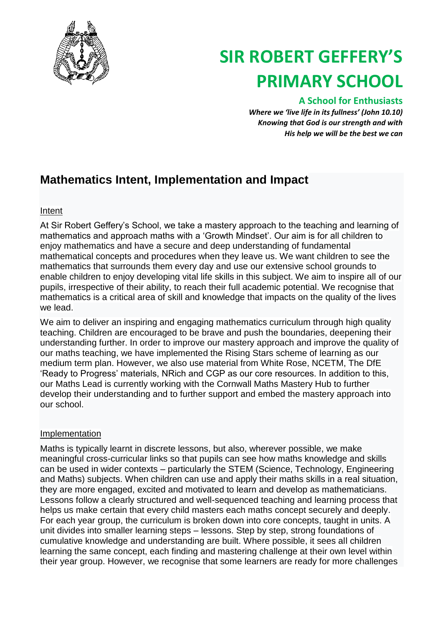

# **SIR ROBERT GEFFERY'S PRIMARY SCHOOL**

### **A School for Enthusiasts**

*Where we 'live life in its fullness' (John 10.10) Knowing that God is our strength and with His help we will be the best we can*

## **Mathematics Intent, Implementation and Impact**

#### Intent

At Sir Robert Geffery's School, we take a mastery approach to the teaching and learning of mathematics and approach maths with a 'Growth Mindset'. Our aim is for all children to enjoy mathematics and have a secure and deep understanding of fundamental mathematical concepts and procedures when they leave us. We want children to see the mathematics that surrounds them every day and use our extensive school grounds to enable children to enjoy developing vital life skills in this subject. We aim to inspire all of our pupils, irrespective of their ability, to reach their full academic potential. We recognise that mathematics is a critical area of skill and knowledge that impacts on the quality of the lives we lead.

We aim to deliver an inspiring and engaging mathematics curriculum through high quality teaching. Children are encouraged to be brave and push the boundaries, deepening their understanding further. In order to improve our mastery approach and improve the quality of our maths teaching, we have implemented the Rising Stars scheme of learning as our medium term plan. However, we also use material from White Rose, NCETM, The DfE 'Ready to Progress' materials, NRich and CGP as our core resources. In addition to this, our Maths Lead is currently working with the Cornwall Maths Mastery Hub to further develop their understanding and to further support and embed the mastery approach into our school.

#### Implementation

Maths is typically learnt in discrete lessons, but also, wherever possible, we make meaningful cross-curricular links so that pupils can see how maths knowledge and skills can be used in wider contexts – particularly the STEM (Science, Technology, Engineering and Maths) subjects. When children can use and apply their maths skills in a real situation, they are more engaged, excited and motivated to learn and develop as mathematicians. Lessons follow a clearly structured and well-sequenced teaching and learning process that helps us make certain that every child masters each maths concept securely and deeply. For each year group, the curriculum is broken down into core concepts, taught in units. A unit divides into smaller learning steps – lessons. Step by step, strong foundations of cumulative knowledge and understanding are built. Where possible, it sees all children learning the same concept, each finding and mastering challenge at their own level within their year group. However, we recognise that some learners are ready for more challenges